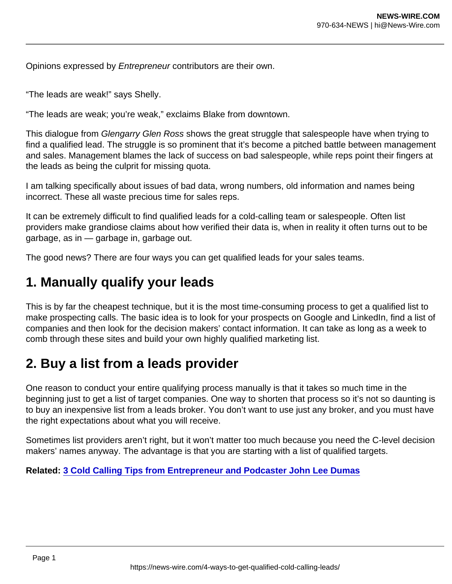Opinions expressed by Entrepreneur contributors are their own.

"The leads are weak!" says Shelly.

"The leads are weak; you're weak," exclaims Blake from downtown.

This dialogue from Glengarry Glen Ross shows the great struggle that salespeople have when trying to find a qualified lead. The struggle is so prominent that it's become a pitched battle between management and sales. Management blames the lack of success on bad salespeople, while reps point their fingers at the leads as being the culprit for missing quota.

I am talking specifically about issues of bad data, wrong numbers, old information and names being incorrect. These all waste precious time for sales reps.

It can be extremely difficult to find qualified leads for a cold-calling team or salespeople. Often list providers make grandiose claims about how verified their data is, when in reality it often turns out to be garbage, as in — garbage in, garbage out.

The good news? There are four ways you can get qualified leads for your sales teams.

## 1. Manually qualify your leads

This is by far the cheapest technique, but it is the most time-consuming process to get a qualified list to make prospecting calls. The basic idea is to look for your prospects on Google and LinkedIn, find a list of companies and then look for the decision makers' contact information. It can take as long as a week to comb through these sites and build your own highly qualified marketing list.

## 2. Buy a list from a leads provider

One reason to conduct your entire qualifying process manually is that it takes so much time in the beginning just to get a list of target companies. One way to shorten that process so it's not so daunting is to buy an inexpensive list from a leads broker. You don't want to use just any broker, and you must have the right expectations about what you will receive.

Sometimes list providers aren't right, but it won't matter too much because you need the C-level decision makers' names anyway. The advantage is that you are starting with a list of qualified targets.

Related: [3 Cold Calling Tips from Entrepreneur and Podcaster John Lee Dumas](https://www.entrepreneur.com/article/380768)